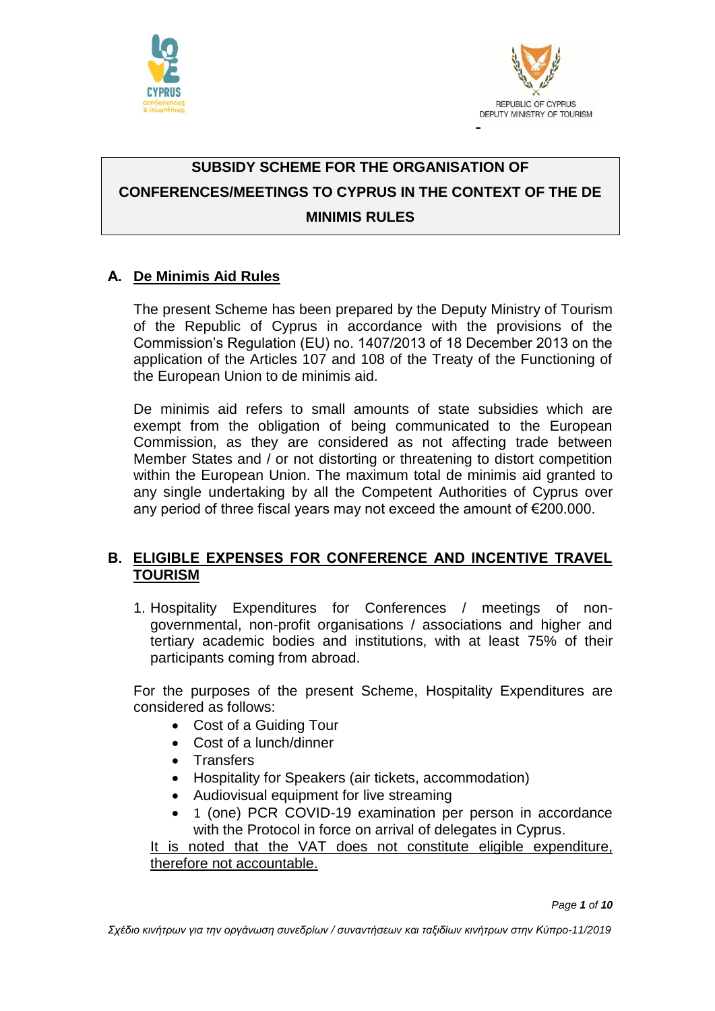



# **SUBSIDY SCHEME FOR THE ORGANISATION OF CONFERENCES/MEETINGS TO CYPRUS IN THE CONTEXT OF THE DE MINIMIS RULES**

## **Α. De Minimis Aid Rules**

The present Scheme has been prepared by the Deputy Ministry of Tourism of the Republic of Cyprus in accordance with the provisions of the Commission's Regulation (EU) no. 1407/2013 of 18 December 2013 on the application of the Articles 107 and 108 of the Treaty of the Functioning of the European Union to de minimis aid.

De minimis aid refers to small amounts of state subsidies which are exempt from the obligation of being communicated to the European Commission, as they are considered as not affecting trade between Member States and / or not distorting or threatening to distort competition within the European Union. The maximum total de minimis aid granted to any single undertaking by all the Competent Authorities of Cyprus over any period of three fiscal years may not exceed the amount of €200.000.

#### **Β. ΕLIGIBLE EXPENSES FOR CONFERENCE AND INCENTIVE TRAVEL TOURISM**

1. Hospitality Expenditures for Conferences / meetings of nongovernmental, non-profit organisations / associations and higher and tertiary academic bodies and institutions, with at least 75% of their participants coming from abroad.

For the purposes of the present Scheme, Hospitality Expenditures are considered as follows:

- Cost of a Guiding Tour
- Cost of a lunch/dinner
- Transfers
- Hospitality for Speakers (air tickets, accommodation)
- Audiovisual equipment for live streaming
- 1 (one) PCR COVID-19 examination per person in accordance with the Protocol in force on arrival of delegates in Cyprus.

It is noted that the VAT does not constitute eligible expenditure, therefore not accountable.

*Page 1 of 10*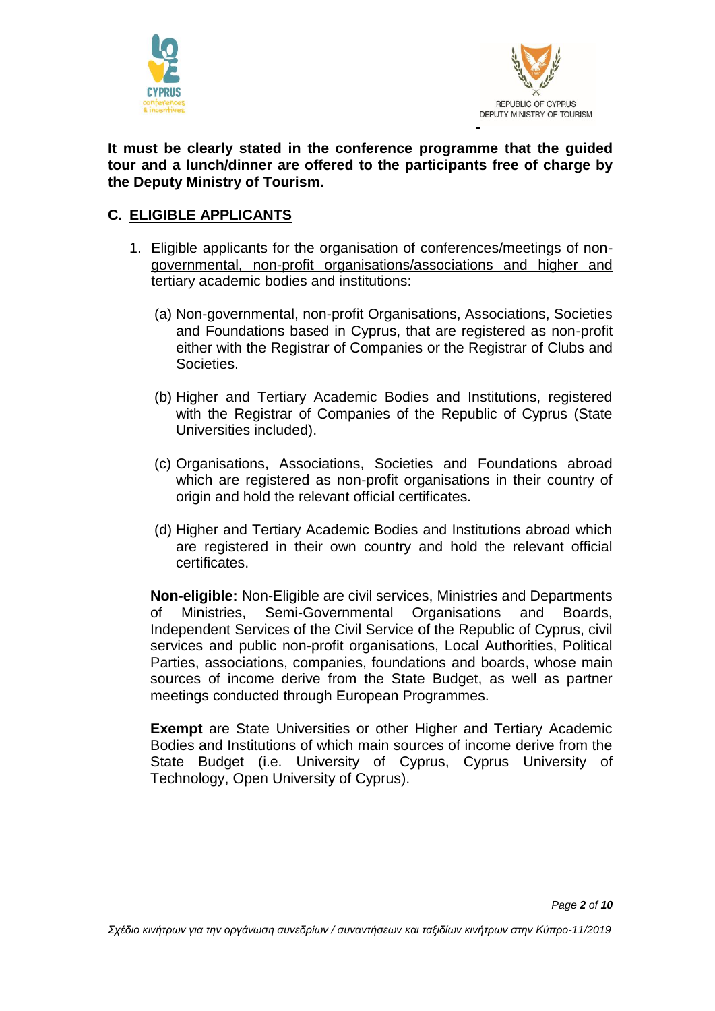



**It must be clearly stated in the conference programme that the guided tour and a lunch/dinner are offered to the participants free of charge by the Deputy Ministry of Tourism.** 

#### **C. ELIGIBLE APPLICANTS**

- 1. Eligible applicants for the organisation of conferences/meetings of nongovernmental, non-profit organisations/associations and higher and tertiary academic bodies and institutions:
	- (a) Non-governmental, non-profit Organisations, Associations, Societies and Foundations based in Cyprus, that are registered as non-profit either with the Registrar of Companies or the Registrar of Clubs and Societies.
	- (b) Higher and Tertiary Academic Bodies and Institutions, registered with the Registrar of Companies of the Republic of Cyprus (State Universities included).
	- (c) Organisations, Associations, Societies and Foundations abroad which are registered as non-profit organisations in their country of origin and hold the relevant official certificates.
	- (d) Higher and Tertiary Academic Bodies and Institutions abroad which are registered in their own country and hold the relevant official certificates.

**Non-eligible:** Non-Eligible are civil services, Ministries and Departments of Ministries, Semi-Governmental Organisations and Boards, Independent Services of the Civil Service of the Republic of Cyprus, civil services and public non-profit organisations, Local Authorities, Political Parties, associations, companies, foundations and boards, whose main sources of income derive from the State Budget, as well as partner meetings conducted through European Programmes.

**Exempt** are State Universities or other Higher and Tertiary Academic Bodies and Institutions of which main sources of income derive from the State Budget (i.e. University of Cyprus, Cyprus University of Technology, Open University of Cyprus).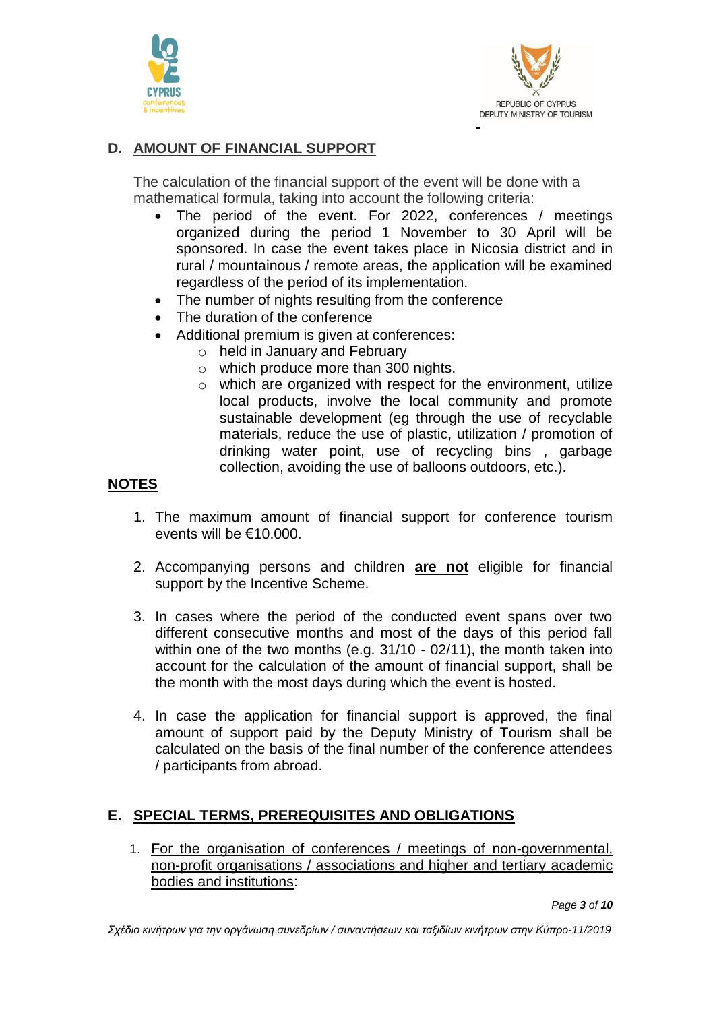



## **D. AMOUNT OF FINANCIAL SUPPORT**

The calculation of the financial support of the event will be done with a mathematical formula, taking into account the following criteria:

- The period of the event. For 2022, conferences / meetings organized during the period 1 November to 30 April will be sponsored. In case the event takes place in Nicosia district and in rural / mountainous / remote areas, the application will be examined regardless of the period of its implementation.
- The number of nights resulting from the conference
- The duration of the conference
- Additional premium is given at conferences:
	- o held in January and February
	- o which produce more than 300 nights.
	- $\circ$  which are organized with respect for the environment, utilize local products, involve the local community and promote sustainable development (eg through the use of recyclable materials, reduce the use of plastic, utilization / promotion of drinking water point, use of recycling bins , garbage collection, avoiding the use of balloons outdoors, etc.).

#### **NOTES**

- 1. The maximum amount of financial support for conference tourism events will be €10.000.
- 2. Accompanying persons and children **are not** eligible for financial support by the Incentive Scheme.
- 3. In cases where the period of the conducted event spans over two different consecutive months and most of the days of this period fall within one of the two months (e.g. 31/10 - 02/11), the month taken into account for the calculation of the amount of financial support, shall be the month with the most days during which the event is hosted.
- 4. In case the application for financial support is approved, the final amount of support paid by the Deputy Ministry of Tourism shall be calculated on the basis of the final number of the conference attendees / participants from abroad.

# **E. SPECIAL TERMS, PREREQUISITES AND OBLIGATIONS**

1. For the organisation of conferences / meetings of non-governmental, non-profit organisations / associations and higher and tertiary academic bodies and institutions:

*Page 3 of 10*

*Σχέδιο κινήτρων για την οργάνωση συνεδρίων / συναντήσεων και ταξιδίων κινήτρων στην Κύπρο-11/2019*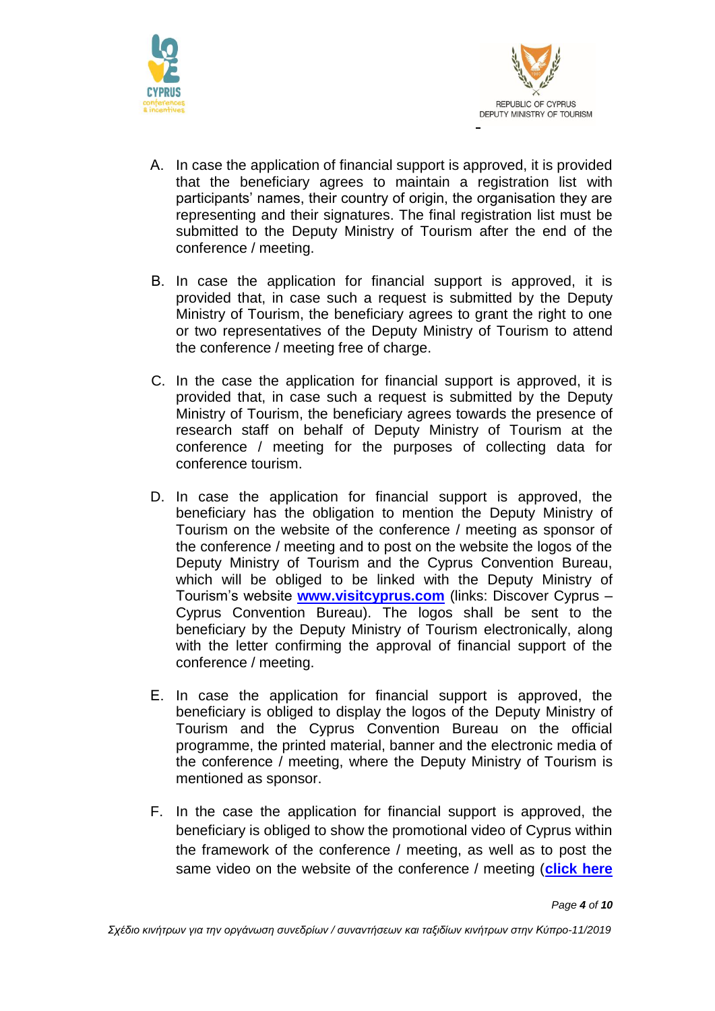



- Α. In case the application of financial support is approved, it is provided that the beneficiary agrees to maintain a registration list with participants' names, their country of origin, the organisation they are representing and their signatures. The final registration list must be submitted to the Deputy Ministry of Tourism after the end of the conference / meeting.
- Β. In case the application for financial support is approved, it is provided that, in case such a request is submitted by the Deputy Ministry of Tourism, the beneficiary agrees to grant the right to one or two representatives of the Deputy Ministry of Tourism to attend the conference / meeting free of charge.
- C. In the case the application for financial support is approved, it is provided that, in case such a request is submitted by the Deputy Ministry of Tourism, the beneficiary agrees towards the presence of research staff on behalf of Deputy Ministry of Tourism at the conference / meeting for the purposes of collecting data for conference tourism.
- D. In case the application for financial support is approved, the beneficiary has the obligation to mention the Deputy Ministry of Tourism on the website of the conference / meeting as sponsor of the conference / meeting and to post on the website the logos of the Deputy Ministry of Tourism and the Cyprus Convention Bureau, which will be obliged to be linked with the Deputy Ministry of Tourism's website **[www.visitcyprus.com](http://www.visitcyprus.com/)** (links: Discover Cyprus – Cyprus Convention Bureau). The logos shall be sent to the beneficiary by the Deputy Ministry of Tourism electronically, along with the letter confirming the approval of financial support of the conference / meeting.
- Ε. In case the application for financial support is approved, the beneficiary is obliged to display the logos of the Deputy Ministry of Tourism and the Cyprus Convention Bureau on the official programme, the printed material, banner and the electronic media of the conference / meeting, where the Deputy Ministry of Tourism is mentioned as sponsor.
- F. In the case the application for financial support is approved, the beneficiary is obliged to show the promotional video of Cyprus within the framework of the conference / meeting, as well as to post the same video on the website of the conference / meeting (**[click here](https://www.dropbox.com/s/8r7jhig2m1hsycn/Cyprus%20in%20your%20heart.avi?dl=0)**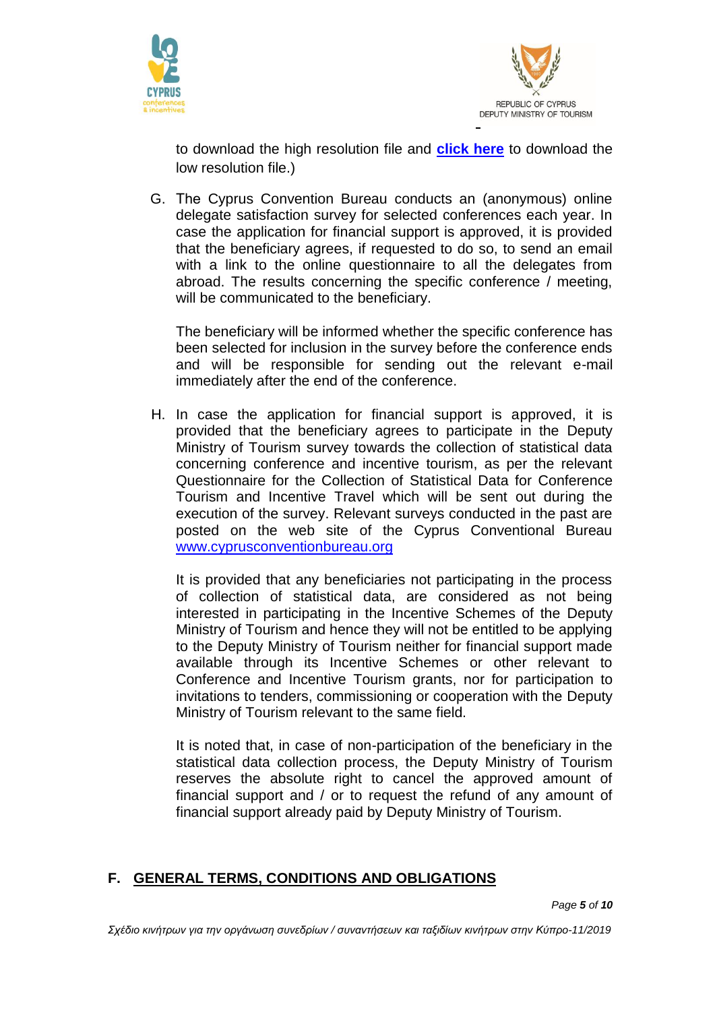



to download the high resolution file and **[click here](http://media.visitcyprus.com/media/Videos/High/Cyprus_in_your_heart_C_lrg.zip)** to download the low resolution file.)

G. Τhe Cyprus Convention Bureau conducts an (anonymous) online delegate satisfaction survey for selected conferences each year. In case the application for financial support is approved, it is provided that the beneficiary agrees, if requested to do so, to send an email with a link to the online questionnaire to all the delegates from abroad. The results concerning the specific conference / meeting, will be communicated to the beneficiary.

The beneficiary will be informed whether the specific conference has been selected for inclusion in the survey before the conference ends and will be responsible for sending out the relevant e-mail immediately after the end of the conference.

H. In case the application for financial support is approved, it is provided that the beneficiary agrees to participate in the Deputy Ministry of Tourism survey towards the collection of statistical data concerning conference and incentive tourism, as per the relevant Questionnaire for the Collection of Statistical Data for Conference Tourism and Incentive Travel which will be sent out during the execution of the survey. Relevant surveys conducted in the past are posted on the web site of the Cyprus Conventional Bureau [www.cyprusconventionbureau.org](http://www.cyprusconventionbureau.org/)

It is provided that any beneficiaries not participating in the process of collection of statistical data, are considered as not being interested in participating in the Incentive Schemes of the Deputy Ministry of Tourism and hence they will not be entitled to be applying to the Deputy Ministry of Tourism neither for financial support made available through its Incentive Schemes or other relevant to Conference and Incentive Tourism grants, nor for participation to invitations to tenders, commissioning or cooperation with the Deputy Ministry of Tourism relevant to the same field.

It is noted that, in case of non-participation of the beneficiary in the statistical data collection process, the Deputy Ministry of Tourism reserves the absolute right to cancel the approved amount of financial support and / or to request the refund of any amount of financial support already paid by Deputy Ministry of Tourism.

#### **F. GENERAL TERMS, CONDITIONS AND OBLIGATIONS**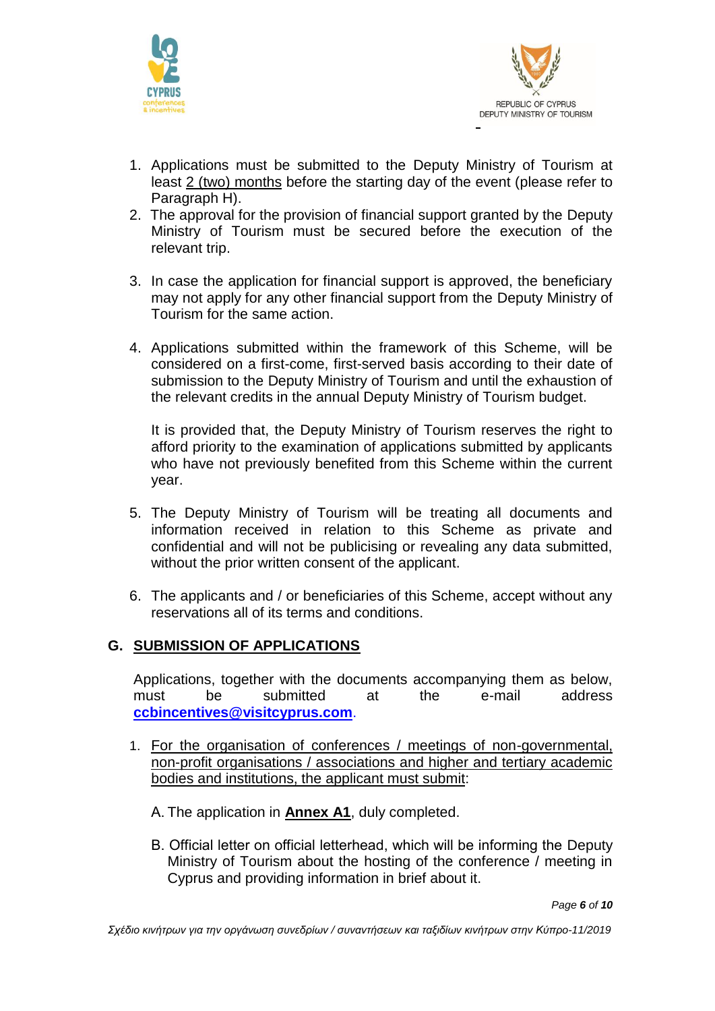



- 1. Applications must be submitted to the Deputy Ministry of Tourism at least 2 (two) months before the starting day of the event (please refer to Paragraph H).
- 2. The approval for the provision of financial support granted by the Deputy Ministry of Tourism must be secured before the execution of the relevant trip.
- 3. In case the application for financial support is approved, the beneficiary may not apply for any other financial support from the Deputy Ministry of Tourism for the same action.
- 4. Applications submitted within the framework of this Scheme, will be considered on a first-come, first-served basis according to their date of submission to the Deputy Ministry of Tourism and until the exhaustion of the relevant credits in the annual Deputy Ministry of Tourism budget.

It is provided that, the Deputy Ministry of Tourism reserves the right to afford priority to the examination of applications submitted by applicants who have not previously benefited from this Scheme within the current year.

- 5. The Deputy Ministry of Tourism will be treating all documents and information received in relation to this Scheme as private and confidential and will not be publicising or revealing any data submitted, without the prior written consent of the applicant.
- 6. The applicants and / or beneficiaries of this Scheme, accept without any reservations all of its terms and conditions.

#### **G. SUBMISSION OF APPLICATIONS**

Applications, together with the documents accompanying them as below, must be submitted at the e-mail address **[ccbincentives@visitcyprus.com](mailto:ccbincentives@visitcyprus.com)**.

- 1. For the organisation of conferences / meetings of non-governmental, non-profit organisations / associations and higher and tertiary academic bodies and institutions, the applicant must submit:
	- Α. The application in **Annex A1**, duly completed.
	- Β. Official letter on official letterhead, which will be informing the Deputy Ministry of Tourism about the hosting of the conference / meeting in Cyprus and providing information in brief about it.

*Page 6 of 10*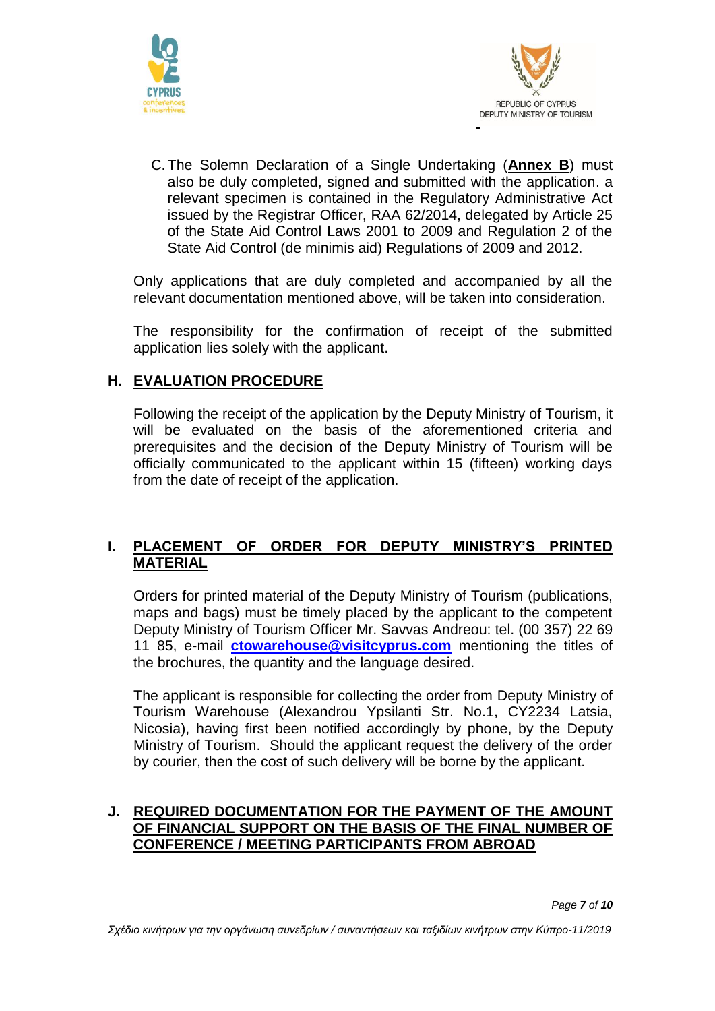



C.The Solemn Declaration of a Single Undertaking (**Annex B**) must also be duly completed, signed and submitted with the application. a relevant specimen is contained in the Regulatory Administrative Act issued by the Registrar Officer, RAA 62/2014, delegated by Article 25 of the State Aid Control Laws 2001 to 2009 and Regulation 2 of the State Aid Control (de minimis aid) Regulations of 2009 and 2012.

Only applications that are duly completed and accompanied by all the relevant documentation mentioned above, will be taken into consideration.

The responsibility for the confirmation of receipt of the submitted application lies solely with the applicant.

#### **H. EVALUATION PROCEDURE**

Following the receipt of the application by the Deputy Ministry of Tourism, it will be evaluated on the basis of the aforementioned criteria and prerequisites and the decision of the Deputy Ministry of Tourism will be officially communicated to the applicant within 15 (fifteen) working days from the date of receipt of the application.

#### **I. PLACEMENT OF ORDER FOR DEPUTY MINISTRY'S PRINTED MATERIAL**

Orders for printed material of the Deputy Ministry of Tourism (publications, maps and bags) must be timely placed by the applicant to the competent Deputy Ministry of Tourism Officer Mr. Savvas Andreou: tel. (00 357) 22 69 11 85, e-mail **[ctowarehouse@visitcyprus.com](mailto:ctowarehouse@visitcyprus.com)** mentioning the titles of the brochures, the quantity and the language desired.

The applicant is responsible for collecting the order from Deputy Ministry of Tourism Warehouse (Alexandrou Ypsilanti Str. No.1, CY2234 Latsia, Nicosia), having first been notified accordingly by phone, by the Deputy Ministry of Tourism. Should the applicant request the delivery of the order by courier, then the cost of such delivery will be borne by the applicant.

#### **J. REQUIRED DOCUMENTATION FOR THE PAYMENT OF THE AMOUNT OF FINANCIAL SUPPORT ON THE BASIS OF THE FINAL NUMBER OF CONFERENCE / MEETING PARTICIPANTS FROM ABROAD**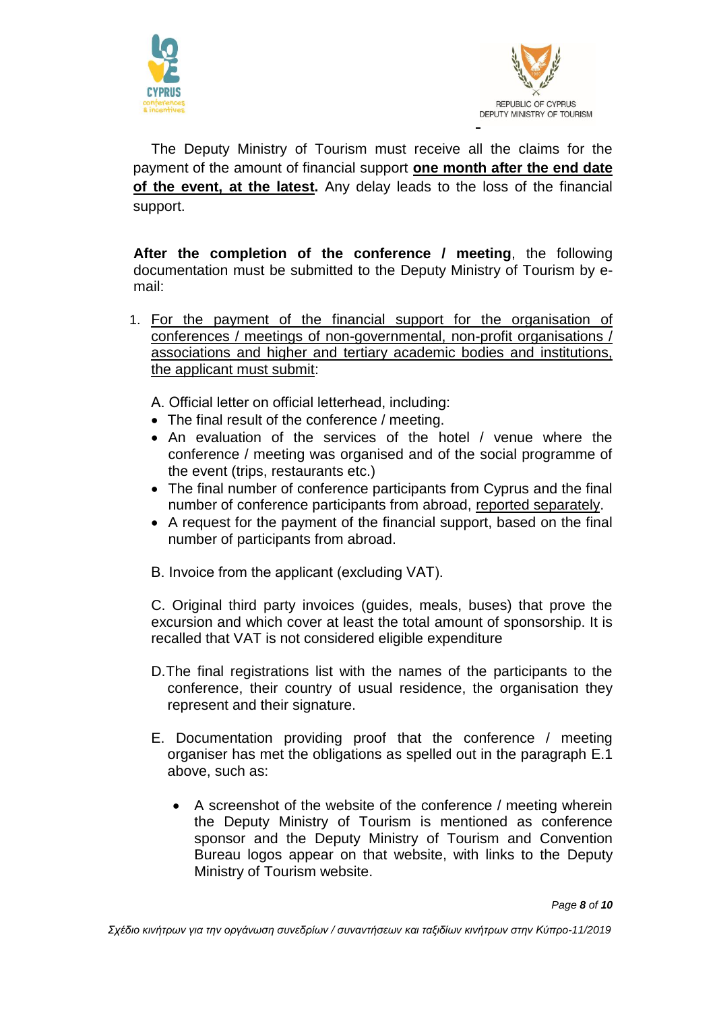



The Deputy Ministry of Tourism must receive all the claims for the payment of the amount of financial support **one month after the end date of the event, at the latest.** Any delay leads to the loss of the financial support.

**After the completion of the conference / meeting**, the following documentation must be submitted to the Deputy Ministry of Tourism by email:

- 1. For the payment of the financial support for the organisation of conferences / meetings of non-governmental, non-profit organisations / associations and higher and tertiary academic bodies and institutions, the applicant must submit:
	- Α. Official letter on official letterhead, including:
	- The final result of the conference / meeting.
	- An evaluation of the services of the hotel / venue where the conference / meeting was organised and of the social programme of the event (trips, restaurants etc.)
	- The final number of conference participants from Cyprus and the final number of conference participants from abroad, reported separately.
	- A request for the payment of the financial support, based on the final number of participants from abroad.
	- Β. Invoice from the applicant (excluding VAT).

C. Original third party invoices (guides, meals, buses) that prove the excursion and which cover at least the total amount of sponsorship. It is recalled that VAT is not considered eligible expenditure

- D.The final registrations list with the names of the participants to the conference, their country of usual residence, the organisation they represent and their signature.
- E. Documentation providing proof that the conference / meeting organiser has met the obligations as spelled out in the paragraph E.1 above, such as:
	- A screenshot of the website of the conference / meeting wherein the Deputy Ministry of Tourism is mentioned as conference sponsor and the Deputy Ministry of Tourism and Convention Bureau logos appear on that website, with links to the Deputy Ministry of Tourism website.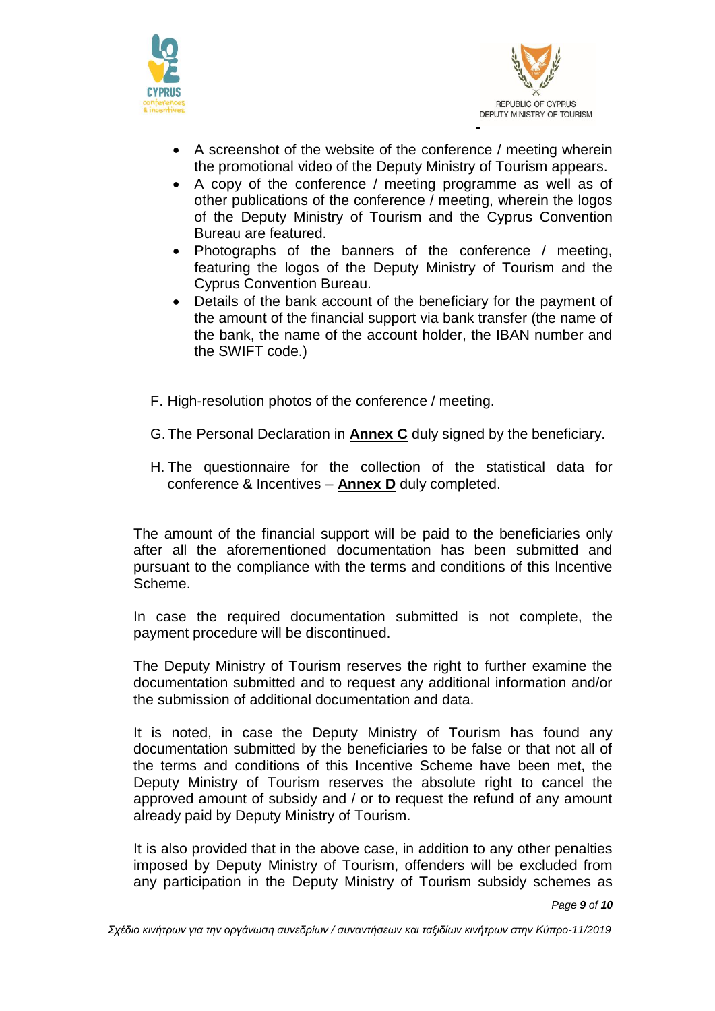



- A screenshot of the website of the conference / meeting wherein the promotional video of the Deputy Ministry of Tourism appears.
- A copy of the conference / meeting programme as well as of other publications of the conference / meeting, wherein the logos of the Deputy Ministry of Tourism and the Cyprus Convention Bureau are featured.
- Photographs of the banners of the conference / meeting, featuring the logos of the Deputy Ministry of Tourism and the Cyprus Convention Bureau.
- Details of the bank account of the beneficiary for the payment of the amount of the financial support via bank transfer (the name of the bank, the name of the account holder, the IBAN number and the SWIFT code.)
- F. High-resolution photos of the conference / meeting.
- G.The Personal Declaration in **Annex C** duly signed by the beneficiary.
- H. The questionnaire for the collection of the statistical data for conference & Incentives – **Annex D** duly completed.

The amount of the financial support will be paid to the beneficiaries only after all the aforementioned documentation has been submitted and pursuant to the compliance with the terms and conditions of this Incentive Scheme.

In case the required documentation submitted is not complete, the payment procedure will be discontinued.

The Deputy Ministry of Tourism reserves the right to further examine the documentation submitted and to request any additional information and/or the submission of additional documentation and data.

It is noted, in case the Deputy Ministry of Tourism has found any documentation submitted by the beneficiaries to be false or that not all of the terms and conditions of this Incentive Scheme have been met, the Deputy Ministry of Tourism reserves the absolute right to cancel the approved amount of subsidy and / or to request the refund of any amount already paid by Deputy Ministry of Tourism.

It is also provided that in the above case, in addition to any other penalties imposed by Deputy Ministry of Tourism, offenders will be excluded from any participation in the Deputy Ministry of Tourism subsidy schemes as